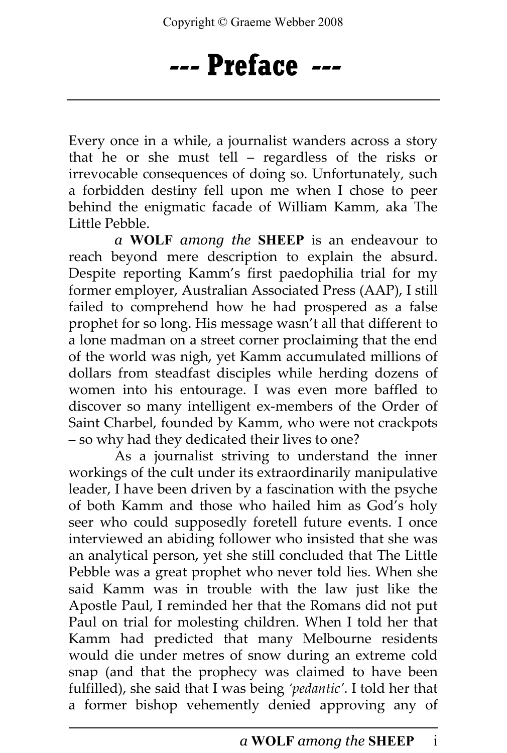## --- Preface ---

Every once in a while, a journalist wanders across a story that he or she must tell – regardless of the risks or irrevocable consequences of doing so. Unfortunately, such a forbidden destiny fell upon me when I chose to peer behind the enigmatic facade of William Kamm, aka The Little Pebble.

a WOLF among the SHEEP is an endeavour to reach beyond mere description to explain the absurd. Despite reporting Kamm's first paedophilia trial for my former employer, Australian Associated Press (AAP), I still failed to comprehend how he had prospered as a false prophet for so long. His message wasn't all that different to a lone madman on a street corner proclaiming that the end of the world was nigh, yet Kamm accumulated millions of dollars from steadfast disciples while herding dozens of women into his entourage. I was even more baffled to discover so many intelligent ex-members of the Order of Saint Charbel, founded by Kamm, who were not crackpots – so why had they dedicated their lives to one?

As a journalist striving to understand the inner workings of the cult under its extraordinarily manipulative leader, I have been driven by a fascination with the psyche of both Kamm and those who hailed him as God's holy seer who could supposedly foretell future events. I once interviewed an abiding follower who insisted that she was an analytical person, yet she still concluded that The Little Pebble was a great prophet who never told lies. When she said Kamm was in trouble with the law just like the Apostle Paul, I reminded her that the Romans did not put Paul on trial for molesting children. When I told her that Kamm had predicted that many Melbourne residents would die under metres of snow during an extreme cold snap (and that the prophecy was claimed to have been fulfilled), she said that I was being 'pedantic'. I told her that a former bishop vehemently denied approving any of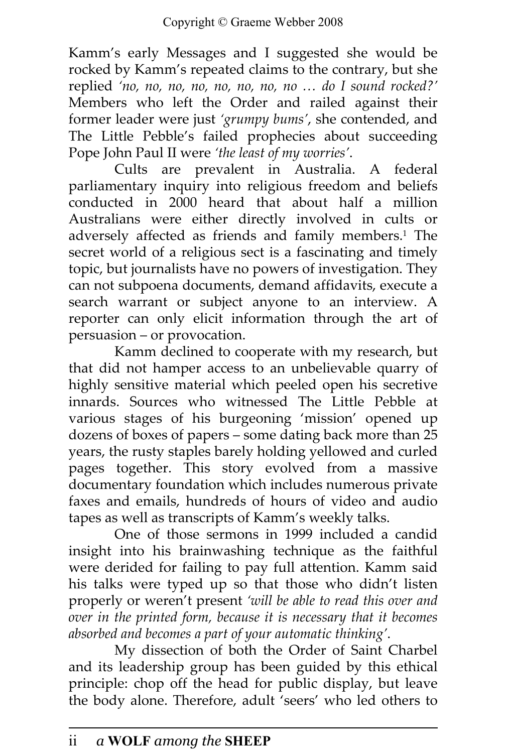Kamm's early Messages and I suggested she would be rocked by Kamm's repeated claims to the contrary, but she replied 'no, no, no, no, no, no, no, no … do I sound rocked?' Members who left the Order and railed against their former leader were just 'grumpy bums', she contended, and The Little Pebble's failed prophecies about succeeding Pope John Paul II were 'the least of my worries'.

Cults are prevalent in Australia. A federal parliamentary inquiry into religious freedom and beliefs conducted in 2000 heard that about half a million Australians were either directly involved in cults or adversely affected as friends and family members.<sup>1</sup> The secret world of a religious sect is a fascinating and timely topic, but journalists have no powers of investigation. They can not subpoena documents, demand affidavits, execute a search warrant or subject anyone to an interview. A reporter can only elicit information through the art of persuasion – or provocation.

Kamm declined to cooperate with my research, but that did not hamper access to an unbelievable quarry of highly sensitive material which peeled open his secretive innards. Sources who witnessed The Little Pebble at various stages of his burgeoning 'mission' opened up dozens of boxes of papers – some dating back more than 25 years, the rusty staples barely holding yellowed and curled pages together. This story evolved from a massive documentary foundation which includes numerous private faxes and emails, hundreds of hours of video and audio tapes as well as transcripts of Kamm's weekly talks.

One of those sermons in 1999 included a candid insight into his brainwashing technique as the faithful were derided for failing to pay full attention. Kamm said his talks were typed up so that those who didn't listen properly or weren't present 'will be able to read this over and over in the printed form, because it is necessary that it becomes absorbed and becomes a part of your automatic thinking'.

My dissection of both the Order of Saint Charbel and its leadership group has been guided by this ethical principle: chop off the head for public display, but leave the body alone. Therefore, adult 'seers' who led others to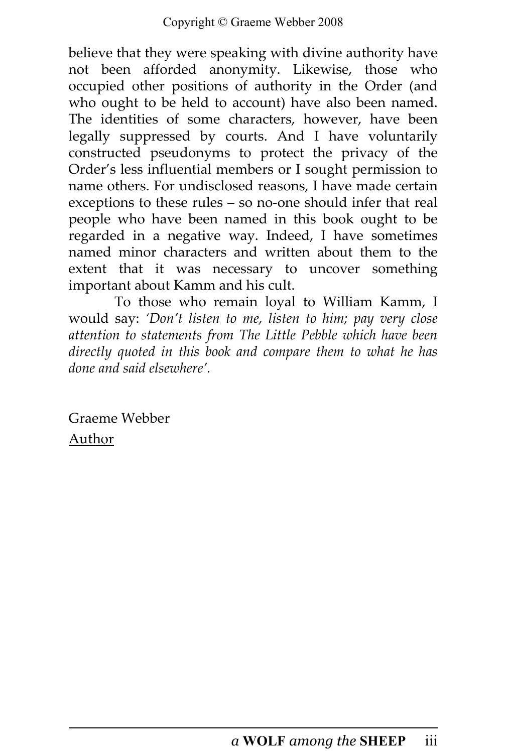believe that they were speaking with divine authority have not been afforded anonymity. Likewise, those who occupied other positions of authority in the Order (and who ought to be held to account) have also been named. The identities of some characters, however, have been legally suppressed by courts. And I have voluntarily constructed pseudonyms to protect the privacy of the Order's less influential members or I sought permission to name others. For undisclosed reasons, I have made certain exceptions to these rules – so no-one should infer that real people who have been named in this book ought to be regarded in a negative way. Indeed, I have sometimes named minor characters and written about them to the extent that it was necessary to uncover something important about Kamm and his cult.

To those who remain loyal to William Kamm, I would say: 'Don't listen to me, listen to him; pay very close attention to statements from The Little Pebble which have been directly quoted in this book and compare them to what he has done and said elsewhere'.

Graeme Webber Author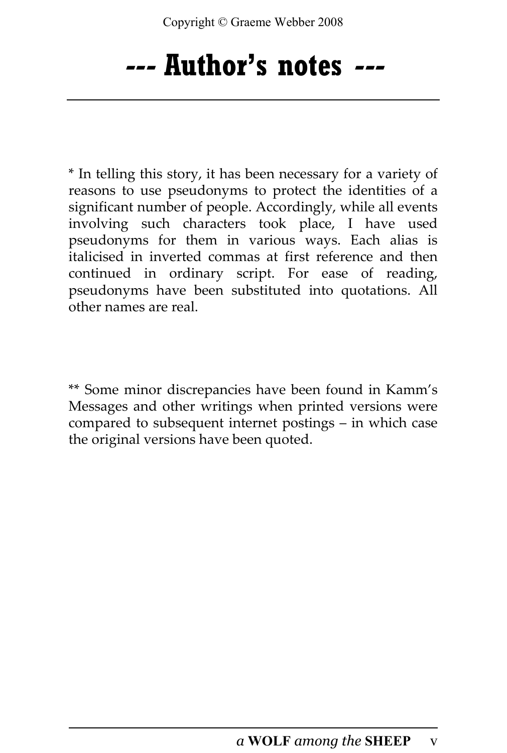## --- Author's notes ---

\* In telling this story, it has been necessary for a variety of reasons to use pseudonyms to protect the identities of a significant number of people. Accordingly, while all events involving such characters took place, I have used pseudonyms for them in various ways. Each alias is italicised in inverted commas at first reference and then continued in ordinary script. For ease of reading, pseudonyms have been substituted into quotations. All other names are real.

\*\* Some minor discrepancies have been found in Kamm's Messages and other writings when printed versions were compared to subsequent internet postings – in which case the original versions have been quoted.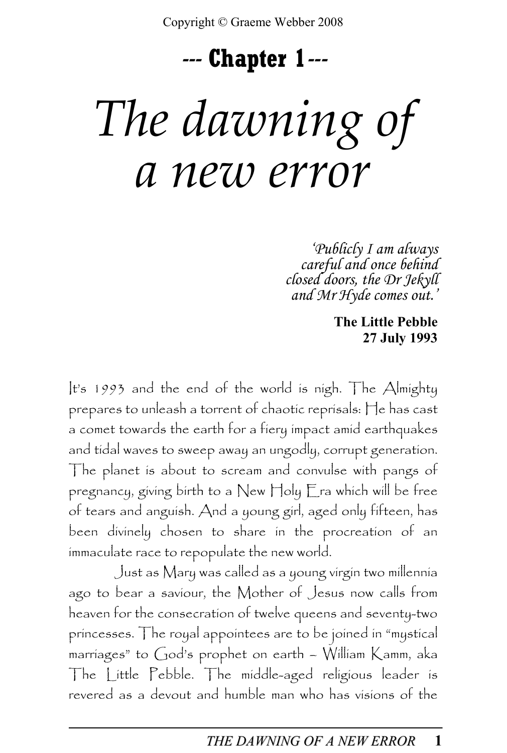## --- Chapter 1---

# The dawning of a new error

'Publicly I am always careful and once behind closed doors, the Dr Jekyll and Mr Hyde comes out.'

> The Little Pebble 27 July 1993

It's 1993 and the end of the world is nigh. The Almighty prepares to unleash a torrent of chaotic reprisals: He has cast a comet towards the earth for a fiery impact amid earthquakes and tidal waves to sweep away an ungodly, corrupt generation. The planet is about to scream and convulse with pangs of pregnancy, giving birth to a New Holy Era which will be free of tears and anguish. And a young girl, aged only fifteen, has been divinely chosen to share in the procreation of an immaculate race to repopulate the new world.

Just as Mary was called as a young virgin two millennia ago to bear a saviour, the Mother of Jesus now calls from heaven for the consecration of twelve queens and seventy-two princesses. The royal appointees are to be joined in "mystical marriages" to God's prophet on earth – William Kamm, aka The Little Pebble. The middle-aged religious leader is revered as a devout and humble man who has visions of the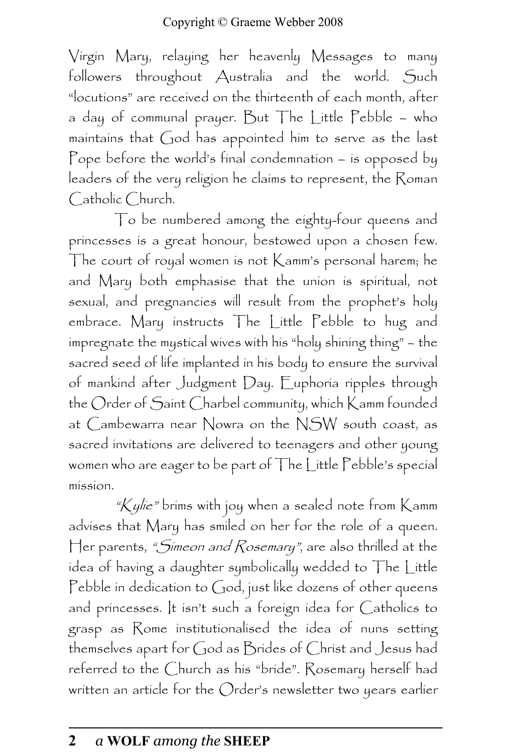Virgin Mary, relaying her heavenly Messages to many followers throughout Australia and the world. Such "locutions" are received on the thirteenth of each month, after a day of communal prayer. But The Little Pebble – who maintains that God has appointed him to serve as the last Pope before the world's final condemnation – is opposed by leaders of the very religion he claims to represent, the Roman Catholic Church.

To be numbered among the eighty-four queens and princesses is a great honour, bestowed upon a chosen few. The court of royal women is not Kamm's personal harem; he and Mary both emphasise that the union is spiritual, not sexual, and pregnancies will result from the prophet's holy embrace. Mary instructs The Little Pebble to hug and impregnate the mystical wives with his "holy shining thing" – the sacred seed of life implanted in his body to ensure the survival of mankind after Judgment Day. Euphoria ripples through the Order of Saint Charbel community, which Kamm founded at Cambewarra near Nowra on the NSW south coast, as sacred invitations are delivered to teenagers and other young women who are eager to be part of The Little Pebble's special mission.

" $K$ ylie" brims with joy when a sealed note from  $K$ amm advises that Mary has smiled on her for the role of a queen. Her parents, *"Simeon and Rosemary"*, are also thrilled at the idea of having a daughter symbolically wedded to The Little Pebble in dedication to God, just like dozens of other queens and princesses. It isn't such a foreign idea for Catholics to grasp as Rome institutionalised the idea of nuns setting themselves apart for God as Brides of Christ and Jesus had referred to the Church as his "bride". Rosemary herself had written an article for the Order's newsletter two years earlier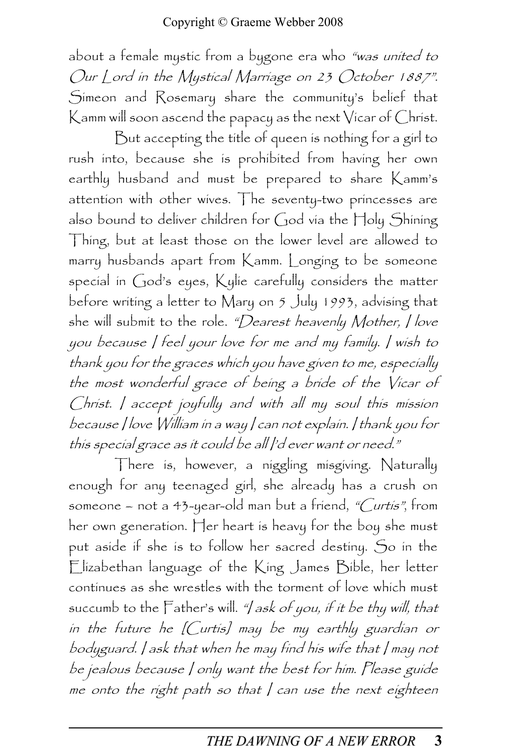about a female mystic from a bygone era who "was united to Our Lord in the Mystical Marriage on 23 October 1887". Simeon and Rosemary share the community's belief that Kamm will soon ascend the papacy as the next Vicar of Christ.

But accepting the title of queen is nothing for a girl to rush into, because she is prohibited from having her own earthly husband and must be prepared to share Kamm's attention with other wives. The seventy-two princesses are also bound to deliver children for God via the Holy Shining Thing, but at least those on the lower level are allowed to marry husbands apart from Kamm. Longing to be someone special in God's eyes, Kylie carefully considers the matter before writing a letter to Mary on 5 July 1993, advising that she will submit to the role. "Dearest heavenly Mother, I love you because I feel your love for me and my family. I wish to thank you for the graces which you have given to me, especially the most wonderful grace of being a bride of the Vicar of Christ. I accept joyfully and with all my soul this mission because I love William in a way I can not explain. I thank you for this special grace as it could be all |'d ever want or need."

There is, however, a niggling misgiving. Naturally enough for any teenaged girl, she already has a crush on someone – not a 43-year-old man but a friend, "Curtis", from her own generation. Her heart is heavy for the boy she must put aside if she is to follow her sacred destiny. So in the Elizabethan language of the King James Bible, her letter continues as she wrestles with the torment of love which must succumb to the Father's will. "I ask of you, if it be thy will, that in the future he [Curtis] may be my earthly guardian or bodyguard. I ask that when he may find his wife that I may not be jealous because I only want the best for him. Please guide me onto the right path so that  $/$  can use the next eighteen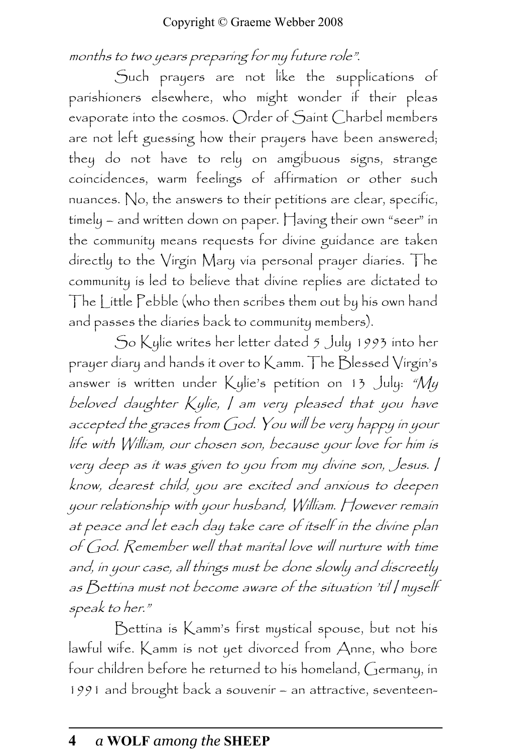#### months to two years preparing for my future role".

Such prayers are not like the supplications of parishioners elsewhere, who might wonder if their pleas evaporate into the cosmos. Order of Saint Charbel members are not left guessing how their prayers have been answered; they do not have to rely on amgibuous signs, strange coincidences, warm feelings of affirmation or other such nuances. No, the answers to their petitions are clear, specific, timely – and written down on paper. Having their own "seer" in the community means requests for divine guidance are taken directly to the Virgin Mary via personal prayer diaries. The community is led to believe that divine replies are dictated to The Little Pebble (who then scribes them out by his own hand and passes the diaries back to community members).

So Kylie writes her letter dated 5 July 1993 into her prayer diary and hands it over to Kamm. The Blessed Virgin's answer is written under Kylie's petition on 13 July: " $M_y$ beloved daughter Kylie, I am very pleased that you have accepted the graces from God. You will be very happy in your life with William, our chosen son, because your love for him is very deep as it was given to you from my divine son, Jesus. I know, dearest child, you are excited and anxious to deepen your relationship with your husband, William. However remain at peace and let each day take care of itself in the divine plan of God. Remember well that marital love will nurture with time and, in your case, all things must be done slowly and discreetly as Bettina must not become aware of the situation 'til I myself speak to her."

Bettina is Kamm's first mystical spouse, but not his lawful wife. Kamm is not yet divorced from Anne, who bore four children before he returned to his homeland, Germany, in 1991 and brought back a souvenir – an attractive, seventeen-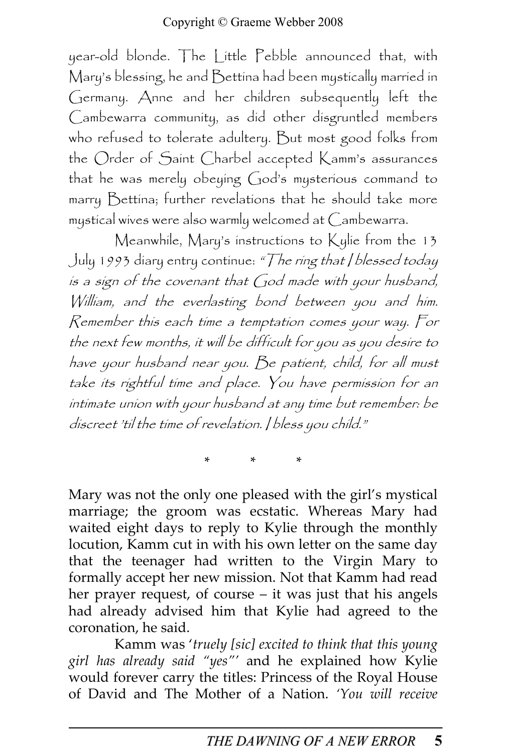year-old blonde. The Little Pebble announced that, with Mary's blessing, he and Bettina had been mystically married in Germany. Anne and her children subsequently left the Cambewarra community, as did other disgruntled members who refused to tolerate adultery. But most good folks from the Order of Saint Charbel accepted Kamm's assurances that he was merely obeying God's mysterious command to marry Bettina; further revelations that he should take more mystical wives were also warmly welcomed at Cambewarra.

Meanwhile, Mary's instructions to Kylie from the 13 July 1993 diary entry continue: "The ring that / blessed today is a sign of the covenant that God made with your husband, William, and the everlasting bond between you and him. Remember this each time a temptation comes your way. For the next few months, it will be difficult for you as you desire to have your husband near you. Be patient, child, for all must take its rightful time and place. You have permission for an intimate union with your husband at any time but remember: be discreet 'til the time of revelation. I bless you child."

\* \* \*

Mary was not the only one pleased with the girl's mystical marriage; the groom was ecstatic. Whereas Mary had waited eight days to reply to Kylie through the monthly locution, Kamm cut in with his own letter on the same day that the teenager had written to the Virgin Mary to formally accept her new mission. Not that Kamm had read her prayer request, of course – it was just that his angels had already advised him that Kylie had agreed to the coronation, he said.

Kamm was 'truely [sic] excited to think that this young girl has already said "yes"' and he explained how Kylie would forever carry the titles: Princess of the Royal House of David and The Mother of a Nation. 'You will receive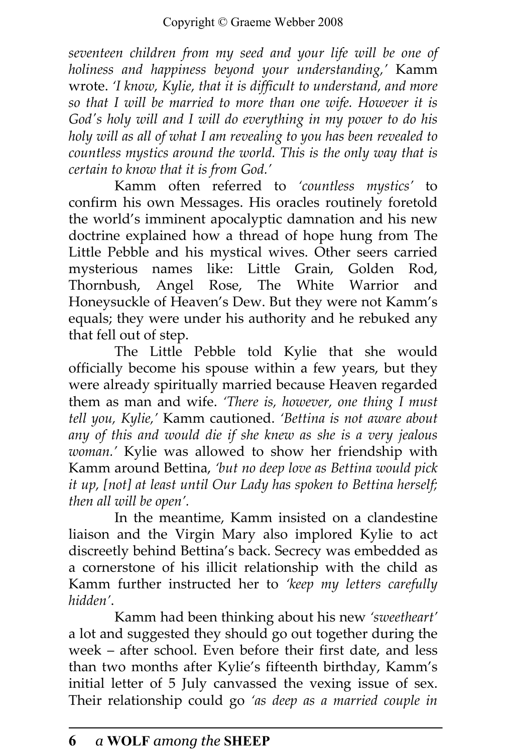seventeen children from my seed and your life will be one of holiness and happiness beyond your understanding,' Kamm wrote. 'I know, Kylie, that it is difficult to understand, and more so that I will be married to more than one wife. However it is God's holy will and I will do everything in my power to do his holy will as all of what I am revealing to you has been revealed to countless mystics around the world. This is the only way that is certain to know that it is from God.'

Kamm often referred to 'countless mystics' to confirm his own Messages. His oracles routinely foretold the world's imminent apocalyptic damnation and his new doctrine explained how a thread of hope hung from The Little Pebble and his mystical wives. Other seers carried mysterious names like: Little Grain, Golden Rod, Thornbush, Angel Rose, The White Warrior and Honeysuckle of Heaven's Dew. But they were not Kamm's equals; they were under his authority and he rebuked any that fell out of step.

The Little Pebble told Kylie that she would officially become his spouse within a few years, but they were already spiritually married because Heaven regarded them as man and wife. 'There is, however, one thing I must tell you, Kylie,' Kamm cautioned. 'Bettina is not aware about any of this and would die if she knew as she is a very jealous woman.' Kylie was allowed to show her friendship with Kamm around Bettina, 'but no deep love as Bettina would pick it up, [not] at least until Our Lady has spoken to Bettina herself; then all will be open'.

In the meantime, Kamm insisted on a clandestine liaison and the Virgin Mary also implored Kylie to act discreetly behind Bettina's back. Secrecy was embedded as a cornerstone of his illicit relationship with the child as Kamm further instructed her to 'keep my letters carefully hidden'.

Kamm had been thinking about his new 'sweetheart' a lot and suggested they should go out together during the week – after school. Even before their first date, and less than two months after Kylie's fifteenth birthday, Kamm's initial letter of 5 July canvassed the vexing issue of sex. Their relationship could go 'as deep as a married couple in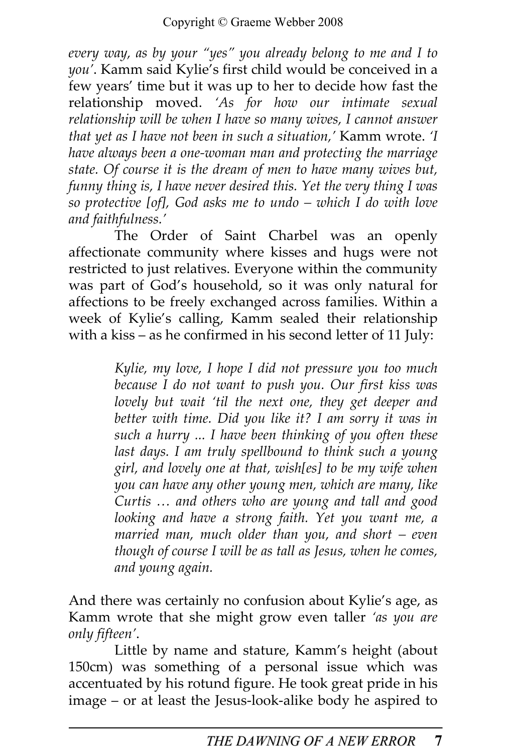every way, as by your "yes" you already belong to me and I to you'. Kamm said Kylie's first child would be conceived in a few years' time but it was up to her to decide how fast the relationship moved. 'As for how our intimate sexual relationship will be when I have so many wives, I cannot answer that yet as I have not been in such a situation,' Kamm wrote. 'I have always been a one-woman man and protecting the marriage state. Of course it is the dream of men to have many wives but, funny thing is, I have never desired this. Yet the very thing I was so protective [of], God asks me to undo – which I do with love and faithfulness.'

The Order of Saint Charbel was an openly affectionate community where kisses and hugs were not restricted to just relatives. Everyone within the community was part of God's household, so it was only natural for affections to be freely exchanged across families. Within a week of Kylie's calling, Kamm sealed their relationship with a kiss – as he confirmed in his second letter of 11 July:

> Kylie, my love, I hope I did not pressure you too much because I do not want to push you. Our first kiss was lovely but wait 'til the next one, they get deeper and better with time. Did you like it? I am sorry it was in such a hurry ... I have been thinking of you often these last days. I am truly spellbound to think such a young girl, and lovely one at that, wish[es] to be my wife when you can have any other young men, which are many, like Curtis … and others who are young and tall and good looking and have a strong faith. Yet you want me, a married man, much older than you, and short – even though of course I will be as tall as Jesus, when he comes, and young again.

And there was certainly no confusion about Kylie's age, as Kamm wrote that she might grow even taller 'as you are only fifteen'.

Little by name and stature, Kamm's height (about 150cm) was something of a personal issue which was accentuated by his rotund figure. He took great pride in his image – or at least the Jesus-look-alike body he aspired to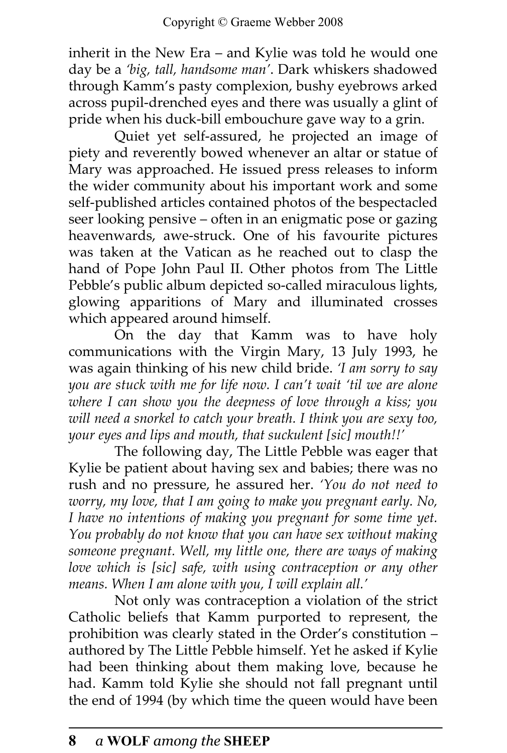inherit in the New Era – and Kylie was told he would one day be a 'big, tall, handsome man'. Dark whiskers shadowed through Kamm's pasty complexion, bushy eyebrows arked across pupil-drenched eyes and there was usually a glint of pride when his duck-bill embouchure gave way to a grin.

Quiet yet self-assured, he projected an image of piety and reverently bowed whenever an altar or statue of Mary was approached. He issued press releases to inform the wider community about his important work and some self-published articles contained photos of the bespectacled seer looking pensive – often in an enigmatic pose or gazing heavenwards, awe-struck. One of his favourite pictures was taken at the Vatican as he reached out to clasp the hand of Pope John Paul II. Other photos from The Little Pebble's public album depicted so-called miraculous lights, glowing apparitions of Mary and illuminated crosses which appeared around himself.

On the day that Kamm was to have holy communications with the Virgin Mary, 13 July 1993, he was again thinking of his new child bride. 'I am sorry to say you are stuck with me for life now. I can't wait 'til we are alone where I can show you the deepness of love through a kiss; you will need a snorkel to catch your breath. I think you are sexy too, your eyes and lips and mouth, that suckulent [sic] mouth!!'

The following day, The Little Pebble was eager that Kylie be patient about having sex and babies; there was no rush and no pressure, he assured her. 'You do not need to worry, my love, that I am going to make you pregnant early. No, I have no intentions of making you pregnant for some time yet. You probably do not know that you can have sex without making someone pregnant. Well, my little one, there are ways of making love which is [sic] safe, with using contraception or any other means. When I am alone with you, I will explain all.'

Not only was contraception a violation of the strict Catholic beliefs that Kamm purported to represent, the prohibition was clearly stated in the Order's constitution – authored by The Little Pebble himself. Yet he asked if Kylie had been thinking about them making love, because he had. Kamm told Kylie she should not fall pregnant until the end of 1994 (by which time the queen would have been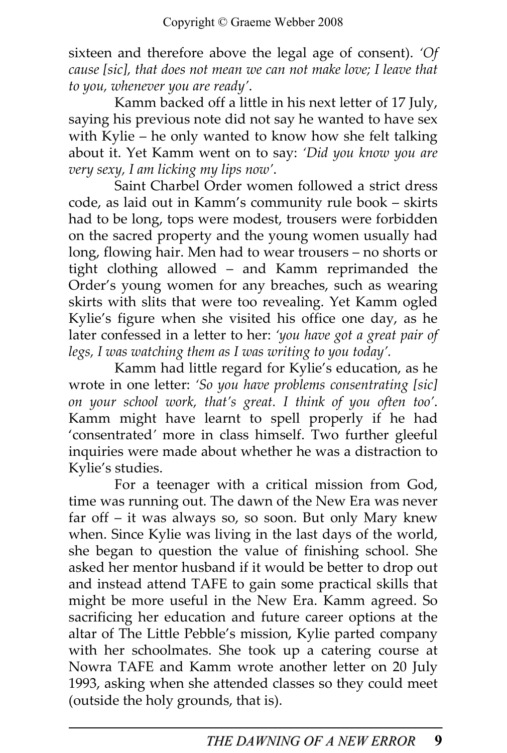sixteen and therefore above the legal age of consent). 'Of cause [sic], that does not mean we can not make love; I leave that to you, whenever you are ready'.

Kamm backed off a little in his next letter of 17 July, saying his previous note did not say he wanted to have sex with Kylie – he only wanted to know how she felt talking about it. Yet Kamm went on to say: 'Did you know you are very sexy, I am licking my lips now'.

Saint Charbel Order women followed a strict dress code, as laid out in Kamm's community rule book – skirts had to be long, tops were modest, trousers were forbidden on the sacred property and the young women usually had long, flowing hair. Men had to wear trousers – no shorts or tight clothing allowed – and Kamm reprimanded the Order's young women for any breaches, such as wearing skirts with slits that were too revealing. Yet Kamm ogled Kylie's figure when she visited his office one day, as he later confessed in a letter to her: 'you have got a great pair of legs, I was watching them as I was writing to you today'.

Kamm had little regard for Kylie's education, as he wrote in one letter: 'So you have problems consentrating [sic] on your school work, that's great. I think of you often too'. Kamm might have learnt to spell properly if he had 'consentrated' more in class himself. Two further gleeful inquiries were made about whether he was a distraction to Kylie's studies.

For a teenager with a critical mission from God, time was running out. The dawn of the New Era was never far off – it was always so, so soon. But only Mary knew when. Since Kylie was living in the last days of the world, she began to question the value of finishing school. She asked her mentor husband if it would be better to drop out and instead attend TAFE to gain some practical skills that might be more useful in the New Era. Kamm agreed. So sacrificing her education and future career options at the altar of The Little Pebble's mission, Kylie parted company with her schoolmates. She took up a catering course at Nowra TAFE and Kamm wrote another letter on 20 July 1993, asking when she attended classes so they could meet (outside the holy grounds, that is).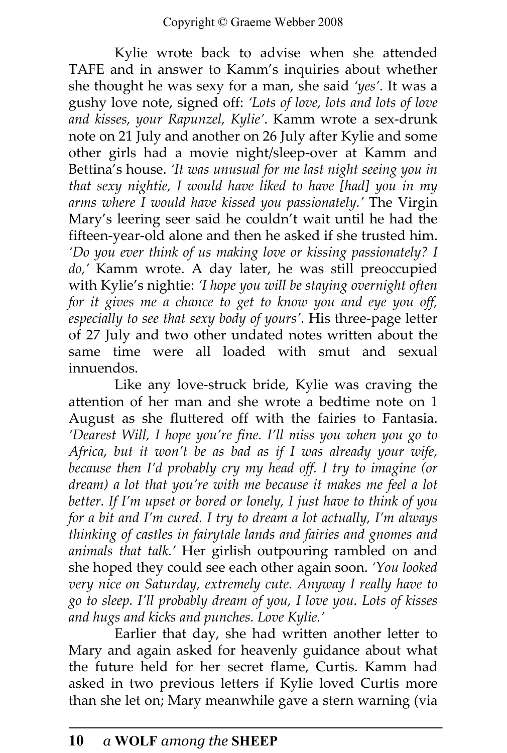Kylie wrote back to advise when she attended TAFE and in answer to Kamm's inquiries about whether she thought he was sexy for a man, she said 'yes'. It was a gushy love note, signed off: 'Lots of love, lots and lots of love and kisses, your Rapunzel, Kylie'. Kamm wrote a sex-drunk note on 21 July and another on 26 July after Kylie and some other girls had a movie night/sleep-over at Kamm and Bettina's house. 'It was unusual for me last night seeing you in that sexy nightie, I would have liked to have [had] you in my arms where I would have kissed you passionately.' The Virgin Mary's leering seer said he couldn't wait until he had the fifteen-year-old alone and then he asked if she trusted him. 'Do you ever think of us making love or kissing passionately? I do,' Kamm wrote. A day later, he was still preoccupied with Kylie's nightie: 'I hope you will be staying overnight often for it gives me a chance to get to know you and eye you off, especially to see that sexy body of yours'. His three-page letter of 27 July and two other undated notes written about the same time were all loaded with smut and sexual innuendos.

Like any love-struck bride, Kylie was craving the attention of her man and she wrote a bedtime note on 1 August as she fluttered off with the fairies to Fantasia. 'Dearest Will, I hope you're fine. I'll miss you when you go to Africa, but it won't be as bad as if I was already your wife, because then I'd probably cry my head off. I try to imagine (or dream) a lot that you're with me because it makes me feel a lot better. If I'm upset or bored or lonely, I just have to think of you for a bit and I'm cured. I try to dream a lot actually, I'm always thinking of castles in fairytale lands and fairies and gnomes and animals that talk.' Her girlish outpouring rambled on and she hoped they could see each other again soon. 'You looked very nice on Saturday, extremely cute. Anyway I really have to go to sleep. I'll probably dream of you, I love you. Lots of kisses and hugs and kicks and punches. Love Kylie.'

Earlier that day, she had written another letter to Mary and again asked for heavenly guidance about what the future held for her secret flame, Curtis. Kamm had asked in two previous letters if Kylie loved Curtis more than she let on; Mary meanwhile gave a stern warning (via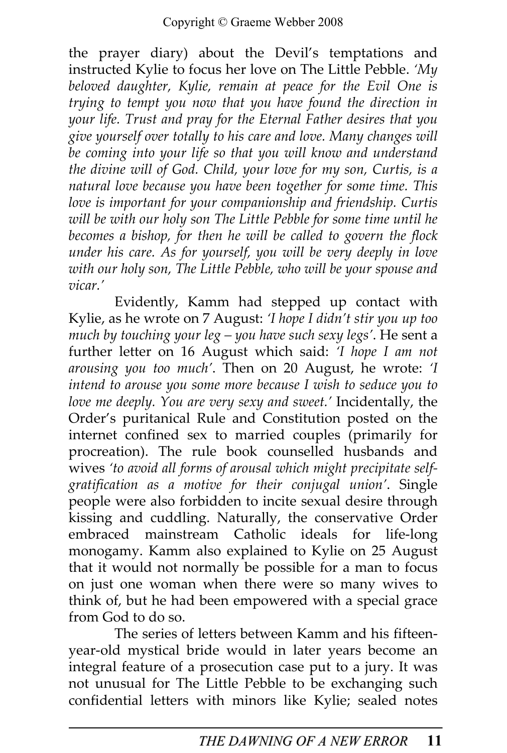the prayer diary) about the Devil's temptations and instructed Kylie to focus her love on The Little Pebble. 'My beloved daughter, Kylie, remain at peace for the Evil One is trying to tempt you now that you have found the direction in your life. Trust and pray for the Eternal Father desires that you give yourself over totally to his care and love. Many changes will be coming into your life so that you will know and understand the divine will of God. Child, your love for my son, Curtis, is a natural love because you have been together for some time. This love is important for your companionship and friendship. Curtis will be with our holy son The Little Pebble for some time until he becomes a bishop, for then he will be called to govern the flock under his care. As for yourself, you will be very deeply in love with our holy son, The Little Pebble, who will be your spouse and vicar.'

Evidently, Kamm had stepped up contact with Kylie, as he wrote on 7 August: 'I hope I didn't stir you up too much by touching your leg – you have such sexy legs'. He sent a further letter on 16 August which said: 'I hope I am not arousing you too much'. Then on 20 August, he wrote: 'I intend to arouse you some more because I wish to seduce you to love me deeply. You are very sexy and sweet.' Incidentally, the Order's puritanical Rule and Constitution posted on the internet confined sex to married couples (primarily for procreation). The rule book counselled husbands and wives 'to avoid all forms of arousal which might precipitate selfgratification as a motive for their conjugal union'. Single people were also forbidden to incite sexual desire through kissing and cuddling. Naturally, the conservative Order embraced mainstream Catholic ideals for life-long monogamy. Kamm also explained to Kylie on 25 August that it would not normally be possible for a man to focus on just one woman when there were so many wives to think of, but he had been empowered with a special grace from God to do so.

The series of letters between Kamm and his fifteenyear-old mystical bride would in later years become an integral feature of a prosecution case put to a jury. It was not unusual for The Little Pebble to be exchanging such confidential letters with minors like Kylie; sealed notes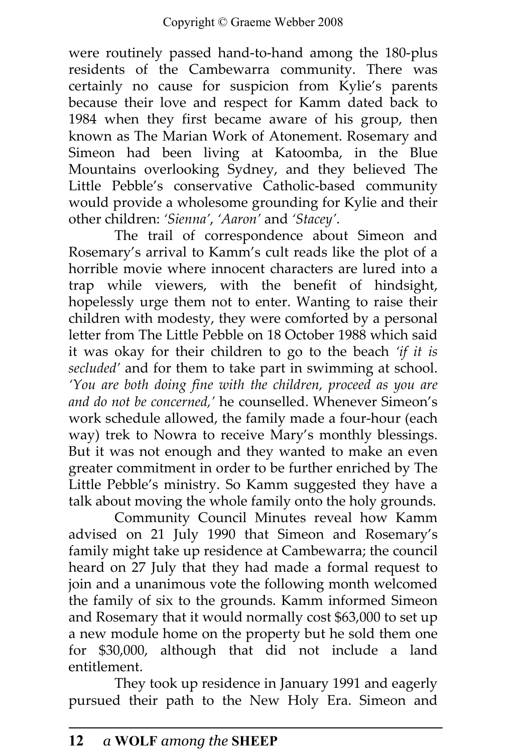were routinely passed hand-to-hand among the 180-plus residents of the Cambewarra community. There was certainly no cause for suspicion from Kylie's parents because their love and respect for Kamm dated back to 1984 when they first became aware of his group, then known as The Marian Work of Atonement. Rosemary and Simeon had been living at Katoomba, in the Blue Mountains overlooking Sydney, and they believed The Little Pebble's conservative Catholic-based community would provide a wholesome grounding for Kylie and their other children: 'Sienna', 'Aaron' and 'Stacey'.

The trail of correspondence about Simeon and Rosemary's arrival to Kamm's cult reads like the plot of a horrible movie where innocent characters are lured into a trap while viewers, with the benefit of hindsight, hopelessly urge them not to enter. Wanting to raise their children with modesty, they were comforted by a personal letter from The Little Pebble on 18 October 1988 which said it was okay for their children to go to the beach 'if it is secluded' and for them to take part in swimming at school. 'You are both doing fine with the children, proceed as you are and do not be concerned,' he counselled. Whenever Simeon's work schedule allowed, the family made a four-hour (each way) trek to Nowra to receive Mary's monthly blessings. But it was not enough and they wanted to make an even greater commitment in order to be further enriched by The Little Pebble's ministry. So Kamm suggested they have a talk about moving the whole family onto the holy grounds.

Community Council Minutes reveal how Kamm advised on 21 July 1990 that Simeon and Rosemary's family might take up residence at Cambewarra; the council heard on 27 July that they had made a formal request to join and a unanimous vote the following month welcomed the family of six to the grounds. Kamm informed Simeon and Rosemary that it would normally cost \$63,000 to set up a new module home on the property but he sold them one for \$30,000, although that did not include a land entitlement.

They took up residence in January 1991 and eagerly pursued their path to the New Holy Era. Simeon and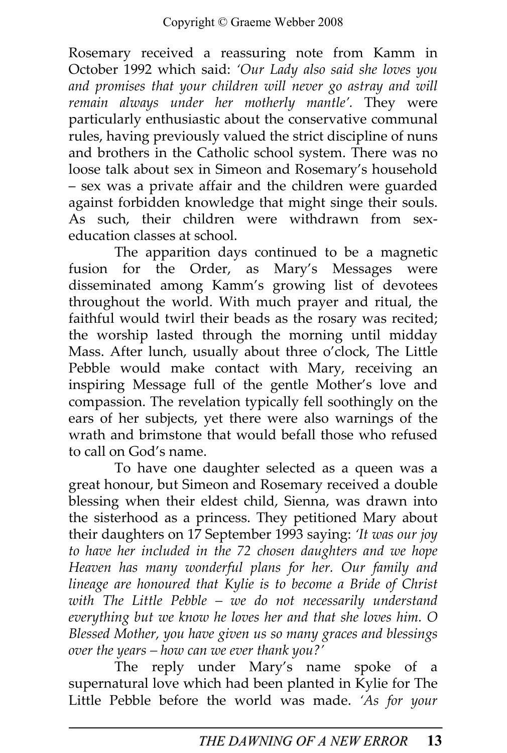Rosemary received a reassuring note from Kamm in October 1992 which said: 'Our Lady also said she loves you and promises that your children will never go astray and will remain always under her motherly mantle'. They were particularly enthusiastic about the conservative communal rules, having previously valued the strict discipline of nuns and brothers in the Catholic school system. There was no loose talk about sex in Simeon and Rosemary's household – sex was a private affair and the children were guarded against forbidden knowledge that might singe their souls. As such, their children were withdrawn from sexeducation classes at school.

The apparition days continued to be a magnetic fusion for the Order, as Mary's Messages were disseminated among Kamm's growing list of devotees throughout the world. With much prayer and ritual, the faithful would twirl their beads as the rosary was recited; the worship lasted through the morning until midday Mass. After lunch, usually about three o'clock, The Little Pebble would make contact with Mary, receiving an inspiring Message full of the gentle Mother's love and compassion. The revelation typically fell soothingly on the ears of her subjects, yet there were also warnings of the wrath and brimstone that would befall those who refused to call on God's name.

To have one daughter selected as a queen was a great honour, but Simeon and Rosemary received a double blessing when their eldest child, Sienna, was drawn into the sisterhood as a princess. They petitioned Mary about their daughters on 17 September 1993 saying: 'It was our joy to have her included in the 72 chosen daughters and we hope Heaven has many wonderful plans for her. Our family and lineage are honoured that Kylie is to become a Bride of Christ with The Little Pebble – we do not necessarily understand everything but we know he loves her and that she loves him. O Blessed Mother, you have given us so many graces and blessings over the years – how can we ever thank you?'

The reply under Mary's name spoke of a supernatural love which had been planted in Kylie for The Little Pebble before the world was made. 'As for your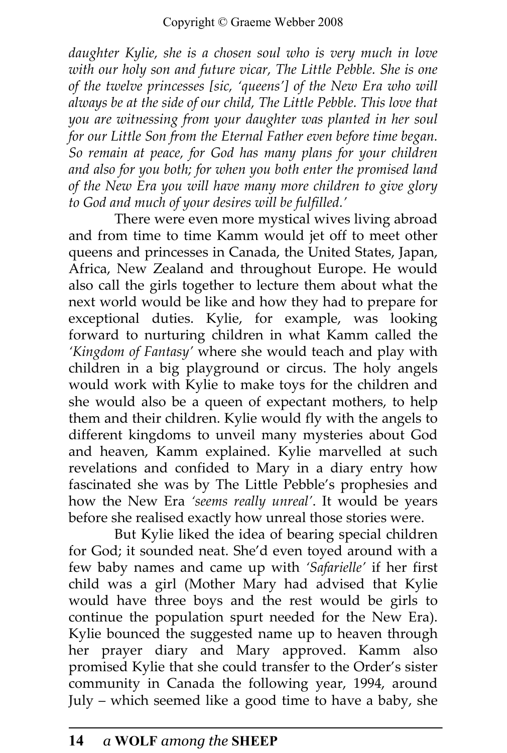daughter Kylie, she is a chosen soul who is very much in love with our holy son and future vicar, The Little Pebble. She is one of the twelve princesses [sic, 'queens'] of the New Era who will always be at the side of our child, The Little Pebble. This love that you are witnessing from your daughter was planted in her soul for our Little Son from the Eternal Father even before time began. So remain at peace, for God has many plans for your children and also for you both; for when you both enter the promised land of the New Era you will have many more children to give glory to God and much of your desires will be fulfilled.'

There were even more mystical wives living abroad and from time to time Kamm would jet off to meet other queens and princesses in Canada, the United States, Japan, Africa, New Zealand and throughout Europe. He would also call the girls together to lecture them about what the next world would be like and how they had to prepare for exceptional duties. Kylie, for example, was looking forward to nurturing children in what Kamm called the 'Kingdom of Fantasy' where she would teach and play with children in a big playground or circus. The holy angels would work with Kylie to make toys for the children and she would also be a queen of expectant mothers, to help them and their children. Kylie would fly with the angels to different kingdoms to unveil many mysteries about God and heaven, Kamm explained. Kylie marvelled at such revelations and confided to Mary in a diary entry how fascinated she was by The Little Pebble's prophesies and how the New Era 'seems really unreal'. It would be years before she realised exactly how unreal those stories were.

But Kylie liked the idea of bearing special children for God; it sounded neat. She'd even toyed around with a few baby names and came up with 'Safarielle' if her first child was a girl (Mother Mary had advised that Kylie would have three boys and the rest would be girls to continue the population spurt needed for the New Era). Kylie bounced the suggested name up to heaven through her prayer diary and Mary approved. Kamm also promised Kylie that she could transfer to the Order's sister community in Canada the following year, 1994, around July – which seemed like a good time to have a baby, she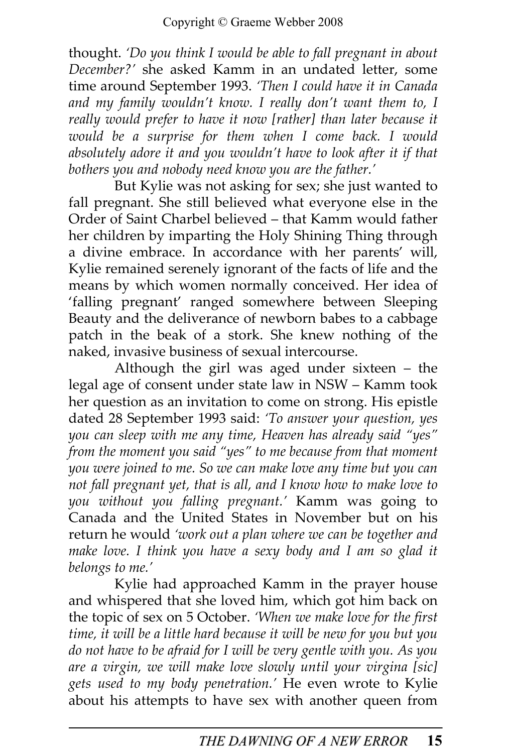thought. 'Do you think I would be able to fall pregnant in about December?' she asked Kamm in an undated letter, some time around September 1993. 'Then I could have it in Canada and my family wouldn't know. I really don't want them to, I really would prefer to have it now [rather] than later because it would be a surprise for them when I come back. I would absolutely adore it and you wouldn't have to look after it if that bothers you and nobody need know you are the father.'

But Kylie was not asking for sex; she just wanted to fall pregnant. She still believed what everyone else in the Order of Saint Charbel believed – that Kamm would father her children by imparting the Holy Shining Thing through a divine embrace. In accordance with her parents' will, Kylie remained serenely ignorant of the facts of life and the means by which women normally conceived. Her idea of 'falling pregnant' ranged somewhere between Sleeping Beauty and the deliverance of newborn babes to a cabbage patch in the beak of a stork. She knew nothing of the naked, invasive business of sexual intercourse.

Although the girl was aged under sixteen – the legal age of consent under state law in NSW – Kamm took her question as an invitation to come on strong. His epistle dated 28 September 1993 said: 'To answer your question, yes you can sleep with me any time, Heaven has already said "yes" from the moment you said "yes" to me because from that moment you were joined to me. So we can make love any time but you can not fall pregnant yet, that is all, and I know how to make love to you without you falling pregnant.' Kamm was going to Canada and the United States in November but on his return he would 'work out a plan where we can be together and make love. I think you have a sexy body and I am so glad it belongs to me.'

Kylie had approached Kamm in the prayer house and whispered that she loved him, which got him back on the topic of sex on 5 October. 'When we make love for the first time, it will be a little hard because it will be new for you but you do not have to be afraid for I will be very gentle with you. As you are a virgin, we will make love slowly until your virgina [sic] gets used to my body penetration.' He even wrote to Kylie about his attempts to have sex with another queen from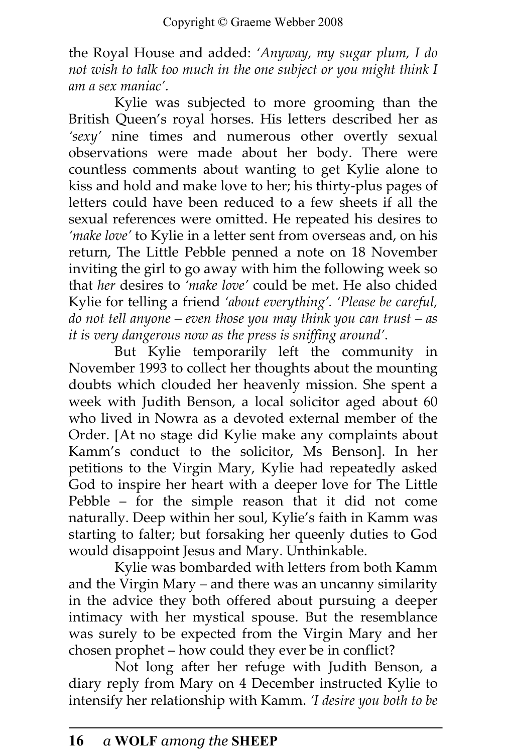the Royal House and added: 'Anyway, my sugar plum, I do not wish to talk too much in the one subject or you might think I am a sex maniac'.

Kylie was subjected to more grooming than the British Queen's royal horses. His letters described her as 'sexy' nine times and numerous other overtly sexual observations were made about her body. There were countless comments about wanting to get Kylie alone to kiss and hold and make love to her; his thirty-plus pages of letters could have been reduced to a few sheets if all the sexual references were omitted. He repeated his desires to 'make love' to Kylie in a letter sent from overseas and, on his return, The Little Pebble penned a note on 18 November inviting the girl to go away with him the following week so that her desires to 'make love' could be met. He also chided Kylie for telling a friend 'about everything'. 'Please be careful, do not tell anyone – even those you may think you can trust – as it is very dangerous now as the press is sniffing around'.

But Kylie temporarily left the community in November 1993 to collect her thoughts about the mounting doubts which clouded her heavenly mission. She spent a week with Judith Benson, a local solicitor aged about 60 who lived in Nowra as a devoted external member of the Order. [At no stage did Kylie make any complaints about Kamm's conduct to the solicitor, Ms Benson]. In her petitions to the Virgin Mary, Kylie had repeatedly asked God to inspire her heart with a deeper love for The Little Pebble – for the simple reason that it did not come naturally. Deep within her soul, Kylie's faith in Kamm was starting to falter; but forsaking her queenly duties to God would disappoint Jesus and Mary. Unthinkable.

Kylie was bombarded with letters from both Kamm and the Virgin Mary – and there was an uncanny similarity in the advice they both offered about pursuing a deeper intimacy with her mystical spouse. But the resemblance was surely to be expected from the Virgin Mary and her chosen prophet – how could they ever be in conflict?

Not long after her refuge with Judith Benson, a diary reply from Mary on 4 December instructed Kylie to intensify her relationship with Kamm. 'I desire you both to be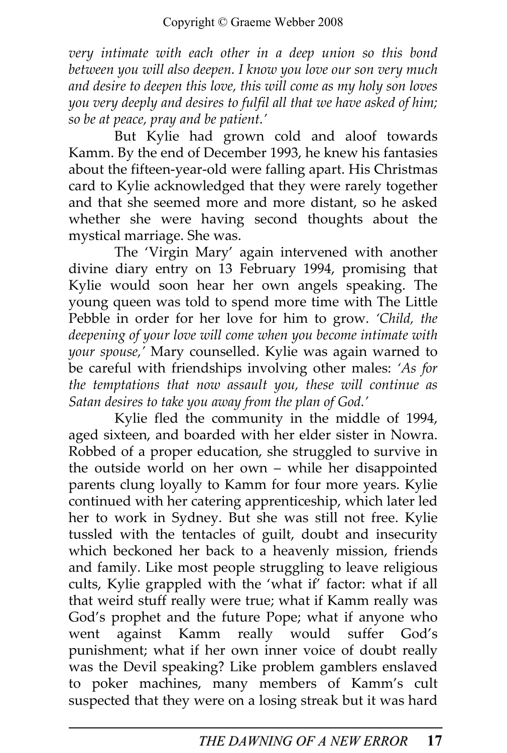very intimate with each other in a deep union so this bond between you will also deepen. I know you love our son very much and desire to deepen this love, this will come as my holy son loves you very deeply and desires to fulfil all that we have asked of him; so be at peace, pray and be patient.'

But Kylie had grown cold and aloof towards Kamm. By the end of December 1993, he knew his fantasies about the fifteen-year-old were falling apart. His Christmas card to Kylie acknowledged that they were rarely together and that she seemed more and more distant, so he asked whether she were having second thoughts about the mystical marriage. She was.

The 'Virgin Mary' again intervened with another divine diary entry on 13 February 1994, promising that Kylie would soon hear her own angels speaking. The young queen was told to spend more time with The Little Pebble in order for her love for him to grow. 'Child, the deepening of your love will come when you become intimate with your spouse,' Mary counselled. Kylie was again warned to be careful with friendships involving other males: 'As for the temptations that now assault you, these will continue as Satan desires to take you away from the plan of God.'

Kylie fled the community in the middle of 1994, aged sixteen, and boarded with her elder sister in Nowra. Robbed of a proper education, she struggled to survive in the outside world on her own – while her disappointed parents clung loyally to Kamm for four more years. Kylie continued with her catering apprenticeship, which later led her to work in Sydney. But she was still not free. Kylie tussled with the tentacles of guilt, doubt and insecurity which beckoned her back to a heavenly mission, friends and family. Like most people struggling to leave religious cults, Kylie grappled with the 'what if' factor: what if all that weird stuff really were true; what if Kamm really was God's prophet and the future Pope; what if anyone who went against Kamm really would suffer God's punishment; what if her own inner voice of doubt really was the Devil speaking? Like problem gamblers enslaved to poker machines, many members of Kamm's cult suspected that they were on a losing streak but it was hard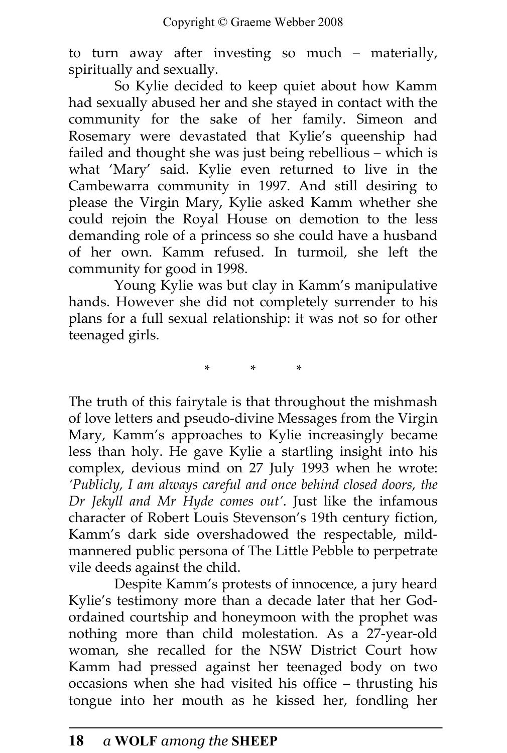to turn away after investing so much – materially, spiritually and sexually.

So Kylie decided to keep quiet about how Kamm had sexually abused her and she stayed in contact with the community for the sake of her family. Simeon and Rosemary were devastated that Kylie's queenship had failed and thought she was just being rebellious – which is what 'Mary' said. Kylie even returned to live in the Cambewarra community in 1997. And still desiring to please the Virgin Mary, Kylie asked Kamm whether she could rejoin the Royal House on demotion to the less demanding role of a princess so she could have a husband of her own. Kamm refused. In turmoil, she left the community for good in 1998.

Young Kylie was but clay in Kamm's manipulative hands. However she did not completely surrender to his plans for a full sexual relationship: it was not so for other teenaged girls.

\* \* \*

The truth of this fairytale is that throughout the mishmash of love letters and pseudo-divine Messages from the Virgin Mary, Kamm's approaches to Kylie increasingly became less than holy. He gave Kylie a startling insight into his complex, devious mind on 27 July 1993 when he wrote: 'Publicly, I am always careful and once behind closed doors, the Dr Jekyll and Mr Hyde comes out'. Just like the infamous character of Robert Louis Stevenson's 19th century fiction, Kamm's dark side overshadowed the respectable, mildmannered public persona of The Little Pebble to perpetrate vile deeds against the child.

Despite Kamm's protests of innocence, a jury heard Kylie's testimony more than a decade later that her Godordained courtship and honeymoon with the prophet was nothing more than child molestation. As a 27-year-old woman, she recalled for the NSW District Court how Kamm had pressed against her teenaged body on two occasions when she had visited his office – thrusting his tongue into her mouth as he kissed her, fondling her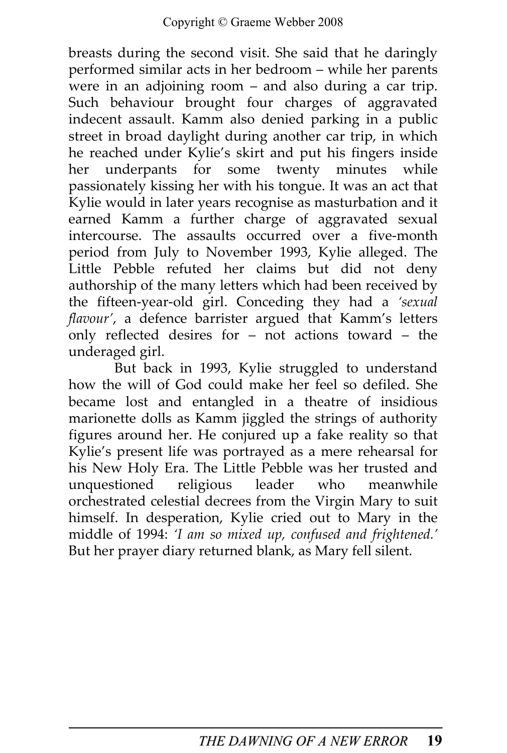breasts during the second visit. She said that he daringly performed similar acts in her bedroom – while her parents were in an adjoining room – and also during a car trip. Such behaviour brought four charges of aggravated indecent assault. Kamm also denied parking in a public street in broad daylight during another car trip, in which he reached under Kylie's skirt and put his fingers inside her underpants for some twenty minutes while passionately kissing her with his tongue. It was an act that Kylie would in later years recognise as masturbation and it earned Kamm a further charge of aggravated sexual intercourse. The assaults occurred over a five-month period from July to November 1993, Kylie alleged. The Little Pebble refuted her claims but did not deny authorship of the many letters which had been received by the fifteen-year-old girl. Conceding they had a 'sexual flavour', a defence barrister argued that Kamm's letters only reflected desires for – not actions toward – the underaged girl.

But back in 1993, Kylie struggled to understand how the will of God could make her feel so defiled. She became lost and entangled in a theatre of insidious marionette dolls as Kamm jiggled the strings of authority figures around her. He conjured up a fake reality so that Kylie's present life was portrayed as a mere rehearsal for his New Holy Era. The Little Pebble was her trusted and unquestioned religious leader who meanwhile religious leader who meanwhile orchestrated celestial decrees from the Virgin Mary to suit himself. In desperation, Kylie cried out to Mary in the middle of 1994: 'I am so mixed up, confused and frightened.' But her prayer diary returned blank, as Mary fell silent.